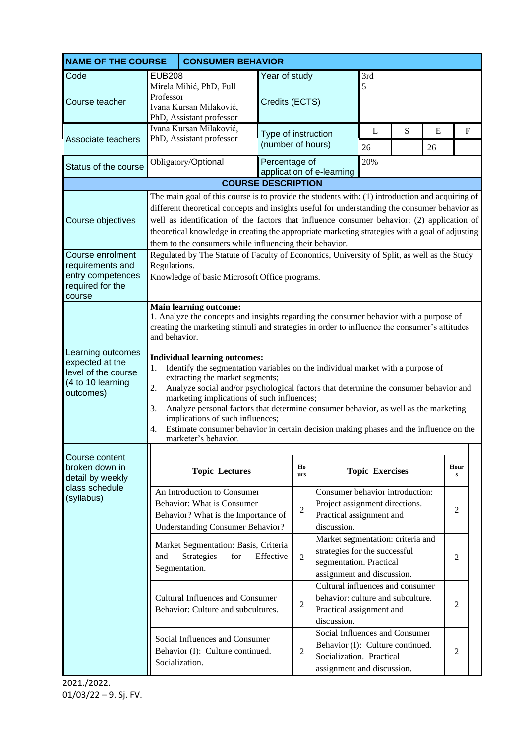| <b>NAME OF THE COURSE</b><br><b>CONSUMER BEHAVIOR</b>                                         |                                                                                                                                                                                                                                                                                                                                                                                                                                                                                                                                                                                                                                                                                                                                                                                                                               |                                                                                                                                             |                                          |                                                                                                                              |                                                                                                                             |                                                                                                   |    |                |                   |  |
|-----------------------------------------------------------------------------------------------|-------------------------------------------------------------------------------------------------------------------------------------------------------------------------------------------------------------------------------------------------------------------------------------------------------------------------------------------------------------------------------------------------------------------------------------------------------------------------------------------------------------------------------------------------------------------------------------------------------------------------------------------------------------------------------------------------------------------------------------------------------------------------------------------------------------------------------|---------------------------------------------------------------------------------------------------------------------------------------------|------------------------------------------|------------------------------------------------------------------------------------------------------------------------------|-----------------------------------------------------------------------------------------------------------------------------|---------------------------------------------------------------------------------------------------|----|----------------|-------------------|--|
| Code                                                                                          | <b>EUB208</b>                                                                                                                                                                                                                                                                                                                                                                                                                                                                                                                                                                                                                                                                                                                                                                                                                 |                                                                                                                                             | Year of study                            |                                                                                                                              | 3rd                                                                                                                         |                                                                                                   |    |                |                   |  |
| Course teacher                                                                                | Mirela Mihić, PhD, Full<br>Professor<br>Ivana Kursan Milaković,<br>PhD, Assistant professor                                                                                                                                                                                                                                                                                                                                                                                                                                                                                                                                                                                                                                                                                                                                   |                                                                                                                                             | 5<br>Credits (ECTS)                      |                                                                                                                              |                                                                                                                             |                                                                                                   |    |                |                   |  |
|                                                                                               | Ivana Kursan Milaković,                                                                                                                                                                                                                                                                                                                                                                                                                                                                                                                                                                                                                                                                                                                                                                                                       |                                                                                                                                             | Type of instruction<br>(number of hours) |                                                                                                                              |                                                                                                                             | L                                                                                                 | S  | E              | $\mathbf F$       |  |
| Associate teachers                                                                            | PhD, Assistant professor                                                                                                                                                                                                                                                                                                                                                                                                                                                                                                                                                                                                                                                                                                                                                                                                      |                                                                                                                                             |                                          |                                                                                                                              | 26                                                                                                                          |                                                                                                   | 26 |                |                   |  |
| Status of the course                                                                          | Obligatory/Optional                                                                                                                                                                                                                                                                                                                                                                                                                                                                                                                                                                                                                                                                                                                                                                                                           |                                                                                                                                             | Percentage of                            |                                                                                                                              | application of e-learning                                                                                                   | 20%                                                                                               |    |                |                   |  |
|                                                                                               | <b>COURSE DESCRIPTION</b>                                                                                                                                                                                                                                                                                                                                                                                                                                                                                                                                                                                                                                                                                                                                                                                                     |                                                                                                                                             |                                          |                                                                                                                              |                                                                                                                             |                                                                                                   |    |                |                   |  |
| Course objectives                                                                             | The main goal of this course is to provide the students with: (1) introduction and acquiring of<br>different theoretical concepts and insights useful for understanding the consumer behavior as<br>well as identification of the factors that influence consumer behavior; (2) application of<br>theoretical knowledge in creating the appropriate marketing strategies with a goal of adjusting                                                                                                                                                                                                                                                                                                                                                                                                                             |                                                                                                                                             |                                          |                                                                                                                              |                                                                                                                             |                                                                                                   |    |                |                   |  |
| Course enrolment<br>requirements and<br>entry competences<br>required for the<br>course       | them to the consumers while influencing their behavior.<br>Regulated by The Statute of Faculty of Economics, University of Split, as well as the Study<br>Regulations.<br>Knowledge of basic Microsoft Office programs.                                                                                                                                                                                                                                                                                                                                                                                                                                                                                                                                                                                                       |                                                                                                                                             |                                          |                                                                                                                              |                                                                                                                             |                                                                                                   |    |                |                   |  |
| Learning outcomes<br>expected at the<br>level of the course<br>(4 to 10 learning<br>outcomes) | <b>Main learning outcome:</b><br>1. Analyze the concepts and insights regarding the consumer behavior with a purpose of<br>creating the marketing stimuli and strategies in order to influence the consumer's attitudes<br>and behavior.<br><b>Individual learning outcomes:</b><br>Identify the segmentation variables on the individual market with a purpose of<br>1.<br>extracting the market segments;<br>2.<br>Analyze social and/or psychological factors that determine the consumer behavior and<br>marketing implications of such influences;<br>Analyze personal factors that determine consumer behavior, as well as the marketing<br>3.<br>implications of such influences;<br>Estimate consumer behavior in certain decision making phases and the influence on the<br>$\overline{4}$ .<br>marketer's behavior. |                                                                                                                                             |                                          |                                                                                                                              |                                                                                                                             |                                                                                                   |    |                |                   |  |
| Course content<br>broken down in<br>detail by weekly                                          |                                                                                                                                                                                                                                                                                                                                                                                                                                                                                                                                                                                                                                                                                                                                                                                                                               | <b>Topic Lectures</b>                                                                                                                       |                                          | Ho<br>urs                                                                                                                    |                                                                                                                             | <b>Topic Exercises</b>                                                                            |    |                | Hour<br>${\bf S}$ |  |
| class schedule<br>(syllabus)                                                                  |                                                                                                                                                                                                                                                                                                                                                                                                                                                                                                                                                                                                                                                                                                                                                                                                                               | An Introduction to Consumer<br>Behavior: What is Consumer<br>Behavior? What is the Importance of<br><b>Understanding Consumer Behavior?</b> |                                          | $\sqrt{2}$                                                                                                                   | Consumer behavior introduction:<br>Project assignment directions.<br>Practical assignment and<br>discussion.                |                                                                                                   |    |                | $\overline{2}$    |  |
|                                                                                               | and                                                                                                                                                                                                                                                                                                                                                                                                                                                                                                                                                                                                                                                                                                                                                                                                                           | Market Segmentation: Basis, Criteria<br>Strategies<br>for<br>Segmentation.                                                                  | Effective                                | $\overline{2}$                                                                                                               | Market segmentation: criteria and<br>strategies for the successful<br>segmentation. Practical<br>assignment and discussion. |                                                                                                   |    |                | 2                 |  |
|                                                                                               | <b>Cultural Influences and Consumer</b><br>Behavior: Culture and subcultures.                                                                                                                                                                                                                                                                                                                                                                                                                                                                                                                                                                                                                                                                                                                                                 |                                                                                                                                             |                                          | $\overline{2}$                                                                                                               | discussion.                                                                                                                 | Cultural influences and consumer<br>behavior: culture and subculture.<br>Practical assignment and |    |                | $\overline{2}$    |  |
| Social Influences and Consumer<br>Behavior (I): Culture continued.<br>Socialization.          |                                                                                                                                                                                                                                                                                                                                                                                                                                                                                                                                                                                                                                                                                                                                                                                                                               |                                                                                                                                             | $\overline{2}$                           | Social Influences and Consumer<br>Behavior (I): Culture continued.<br>Socialization. Practical<br>assignment and discussion. |                                                                                                                             |                                                                                                   |    | $\overline{2}$ |                   |  |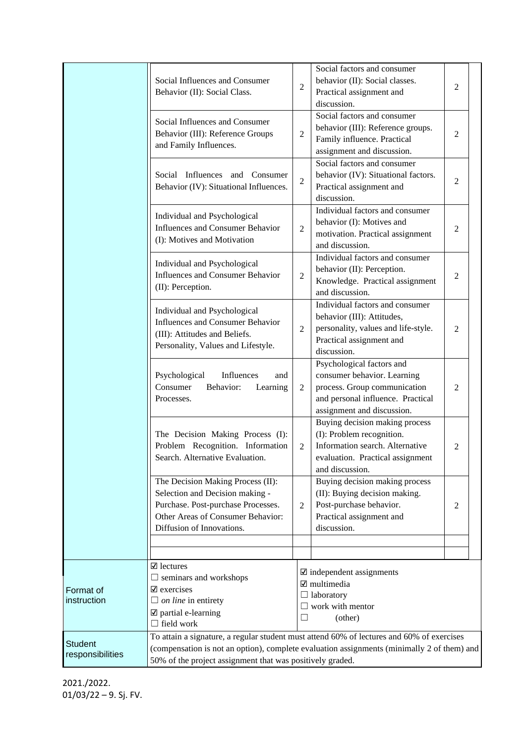|                                    | Social Influences and Consumer<br>Behavior (II): Social Class.                                                                                                                                                                                       |                | Social factors and consumer<br>behavior (II): Social classes.<br>Practical assignment and<br>discussion.                                                    | 2              |  |
|------------------------------------|------------------------------------------------------------------------------------------------------------------------------------------------------------------------------------------------------------------------------------------------------|----------------|-------------------------------------------------------------------------------------------------------------------------------------------------------------|----------------|--|
|                                    | Social Influences and Consumer<br>Behavior (III): Reference Groups<br>and Family Influences.                                                                                                                                                         | $\overline{2}$ | Social factors and consumer<br>behavior (III): Reference groups.<br>Family influence. Practical<br>assignment and discussion.                               | 2              |  |
|                                    | Social Influences and Consumer<br>Behavior (IV): Situational Influences.                                                                                                                                                                             | $\overline{c}$ | Social factors and consumer<br>behavior (IV): Situational factors.<br>Practical assignment and<br>discussion.                                               | $\overline{c}$ |  |
|                                    | Individual and Psychological<br>Influences and Consumer Behavior<br>(I): Motives and Motivation                                                                                                                                                      | $\overline{2}$ | Individual factors and consumer<br>behavior (I): Motives and<br>motivation. Practical assignment<br>and discussion.                                         | 2              |  |
|                                    | Individual and Psychological<br>Influences and Consumer Behavior<br>(II): Perception.                                                                                                                                                                | $\overline{2}$ | Individual factors and consumer<br>behavior (II): Perception.<br>Knowledge. Practical assignment<br>and discussion.                                         | $\overline{c}$ |  |
|                                    | Individual and Psychological<br>Influences and Consumer Behavior<br>(III): Attitudes and Beliefs.<br>Personality, Values and Lifestyle.                                                                                                              | $\overline{2}$ | Individual factors and consumer<br>behavior (III): Attitudes,<br>personality, values and life-style.<br>Practical assignment and<br>discussion.             | 2              |  |
|                                    | Psychological<br>Influences<br>and<br>Consumer<br>Behavior:<br>Learning<br>Processes.                                                                                                                                                                | $\overline{2}$ | Psychological factors and<br>consumer behavior. Learning<br>process. Group communication<br>and personal influence. Practical<br>assignment and discussion. | 2              |  |
|                                    | The Decision Making Process (I):<br>Problem Recognition. Information<br>Search. Alternative Evaluation.                                                                                                                                              | $\overline{2}$ | Buying decision making process<br>(I): Problem recognition.<br>Information search. Alternative<br>evaluation. Practical assignment<br>and discussion.       | 2              |  |
|                                    | The Decision Making Process (II):<br>Selection and Decision making -<br>Purchase. Post-purchase Processes.<br>Other Areas of Consumer Behavior:<br>Diffusion of Innovations.                                                                         | $\overline{2}$ | Buying decision making process<br>(II): Buying decision making.<br>Post-purchase behavior.<br>Practical assignment and<br>discussion.                       | 2              |  |
|                                    |                                                                                                                                                                                                                                                      |                |                                                                                                                                                             |                |  |
| Format of<br>instruction           | $\mathbf{\nabla}$ lectures<br>$\Box$ seminars and workshops<br>$\mathbf{\nabla}$ exercises<br>$\Box$ on line in entirety<br>$\boxtimes$ partial e-learning<br>$\Box$ field work                                                                      | ப<br>$\Box$    | $\mathbf{\nabla}$ independent assignments<br>laboratory<br>work with mentor<br>(other)                                                                      |                |  |
| <b>Student</b><br>responsibilities | To attain a signature, a regular student must attend 60% of lectures and 60% of exercises<br>(compensation is not an option), complete evaluation assignments (minimally 2 of them) and<br>50% of the project assignment that was positively graded. |                |                                                                                                                                                             |                |  |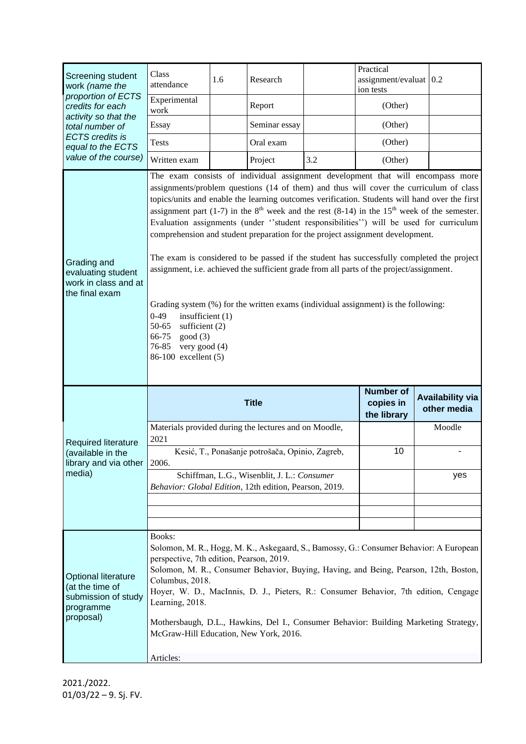| Screening student<br>work (name the<br>proportion of ECTS<br>credits for each<br>activity so that the<br>total number of<br><b>ECTS</b> credits is<br>equal to the ECTS<br>value of the course) | Class<br>attendance                                                                                                                                                                                                                                                                                                                                                                                                                                                                                                                                                                                                                                                                                                                                                                                                                                                                                                                                                                   | 1.6 | Research                                        |     | Practical<br>$assignment/evaluat$ 0.2<br>ion tests                                                                                                                                                                                                                                                                                                            |                                        |
|-------------------------------------------------------------------------------------------------------------------------------------------------------------------------------------------------|---------------------------------------------------------------------------------------------------------------------------------------------------------------------------------------------------------------------------------------------------------------------------------------------------------------------------------------------------------------------------------------------------------------------------------------------------------------------------------------------------------------------------------------------------------------------------------------------------------------------------------------------------------------------------------------------------------------------------------------------------------------------------------------------------------------------------------------------------------------------------------------------------------------------------------------------------------------------------------------|-----|-------------------------------------------------|-----|---------------------------------------------------------------------------------------------------------------------------------------------------------------------------------------------------------------------------------------------------------------------------------------------------------------------------------------------------------------|----------------------------------------|
|                                                                                                                                                                                                 | Experimental<br>work                                                                                                                                                                                                                                                                                                                                                                                                                                                                                                                                                                                                                                                                                                                                                                                                                                                                                                                                                                  |     | Report                                          |     | (Other)                                                                                                                                                                                                                                                                                                                                                       |                                        |
|                                                                                                                                                                                                 | Essay                                                                                                                                                                                                                                                                                                                                                                                                                                                                                                                                                                                                                                                                                                                                                                                                                                                                                                                                                                                 |     | Seminar essay                                   |     | (Other)                                                                                                                                                                                                                                                                                                                                                       |                                        |
|                                                                                                                                                                                                 | <b>Tests</b>                                                                                                                                                                                                                                                                                                                                                                                                                                                                                                                                                                                                                                                                                                                                                                                                                                                                                                                                                                          |     | Oral exam                                       |     | (Other)                                                                                                                                                                                                                                                                                                                                                       |                                        |
|                                                                                                                                                                                                 | Written exam                                                                                                                                                                                                                                                                                                                                                                                                                                                                                                                                                                                                                                                                                                                                                                                                                                                                                                                                                                          |     | Project                                         | 3.2 | (Other)                                                                                                                                                                                                                                                                                                                                                       |                                        |
| Grading and<br>evaluating student<br>work in class and at<br>the final exam                                                                                                                     | The exam consists of individual assignment development that will encompass more<br>assignments/problem questions (14 of them) and thus will cover the curriculum of class<br>topics/units and enable the learning outcomes verification. Students will hand over the first<br>assignment part (1-7) in the $8th$ week and the rest (8-14) in the 15 <sup>th</sup> week of the semester.<br>Evaluation assignments (under "student responsibilities") will be used for curriculum<br>comprehension and student preparation for the project assignment development.<br>The exam is considered to be passed if the student has successfully completed the project<br>assignment, i.e. achieved the sufficient grade from all parts of the project/assignment.<br>Grading system (%) for the written exams (individual assignment) is the following:<br>$0 - 49$<br>insufficient $(1)$<br>50-65<br>sufficient $(2)$<br>66-75<br>good(3)<br>76-85<br>very good (4)<br>86-100 excellent (5) |     |                                                 |     |                                                                                                                                                                                                                                                                                                                                                               |                                        |
|                                                                                                                                                                                                 |                                                                                                                                                                                                                                                                                                                                                                                                                                                                                                                                                                                                                                                                                                                                                                                                                                                                                                                                                                                       |     |                                                 |     |                                                                                                                                                                                                                                                                                                                                                               |                                        |
|                                                                                                                                                                                                 |                                                                                                                                                                                                                                                                                                                                                                                                                                                                                                                                                                                                                                                                                                                                                                                                                                                                                                                                                                                       |     | <b>Title</b>                                    |     | <b>Number of</b><br>copies in<br>the library                                                                                                                                                                                                                                                                                                                  | <b>Availability via</b><br>other media |
|                                                                                                                                                                                                 | Materials provided during the lectures and on Moodle,                                                                                                                                                                                                                                                                                                                                                                                                                                                                                                                                                                                                                                                                                                                                                                                                                                                                                                                                 |     |                                                 |     |                                                                                                                                                                                                                                                                                                                                                               | Moodle                                 |
| Required literature<br>(available in the<br>library and via other                                                                                                                               | 2021<br>2006.                                                                                                                                                                                                                                                                                                                                                                                                                                                                                                                                                                                                                                                                                                                                                                                                                                                                                                                                                                         |     | Kesić, T., Ponašanje potrošača, Opinio, Zagreb, |     | 10                                                                                                                                                                                                                                                                                                                                                            |                                        |
| media)                                                                                                                                                                                          | Behavior: Global Edition, 12th edition, Pearson, 2019.                                                                                                                                                                                                                                                                                                                                                                                                                                                                                                                                                                                                                                                                                                                                                                                                                                                                                                                                |     | Schiffman, L.G., Wisenblit, J. L.: Consumer     |     |                                                                                                                                                                                                                                                                                                                                                               | yes                                    |
|                                                                                                                                                                                                 |                                                                                                                                                                                                                                                                                                                                                                                                                                                                                                                                                                                                                                                                                                                                                                                                                                                                                                                                                                                       |     |                                                 |     |                                                                                                                                                                                                                                                                                                                                                               |                                        |
|                                                                                                                                                                                                 |                                                                                                                                                                                                                                                                                                                                                                                                                                                                                                                                                                                                                                                                                                                                                                                                                                                                                                                                                                                       |     |                                                 |     |                                                                                                                                                                                                                                                                                                                                                               |                                        |
| <b>Optional literature</b><br>(at the time of<br>submission of study<br>programme<br>proposal)                                                                                                  | Books:<br>perspective, 7th edition, Pearson, 2019.<br>Columbus, 2018.<br>Learning, 2018.<br>McGraw-Hill Education, New York, 2016.<br>Articles:                                                                                                                                                                                                                                                                                                                                                                                                                                                                                                                                                                                                                                                                                                                                                                                                                                       |     |                                                 |     | Solomon, M. R., Hogg, M. K., Askegaard, S., Bamossy, G.: Consumer Behavior: A European<br>Solomon, M. R., Consumer Behavior, Buying, Having, and Being, Pearson, 12th, Boston,<br>Hoyer, W. D., MacInnis, D. J., Pieters, R.: Consumer Behavior, 7th edition, Cengage<br>Mothersbaugh, D.L., Hawkins, Del I., Consumer Behavior: Building Marketing Strategy, |                                        |

2021./2022. 01/03/22 – 9. Sj. FV.